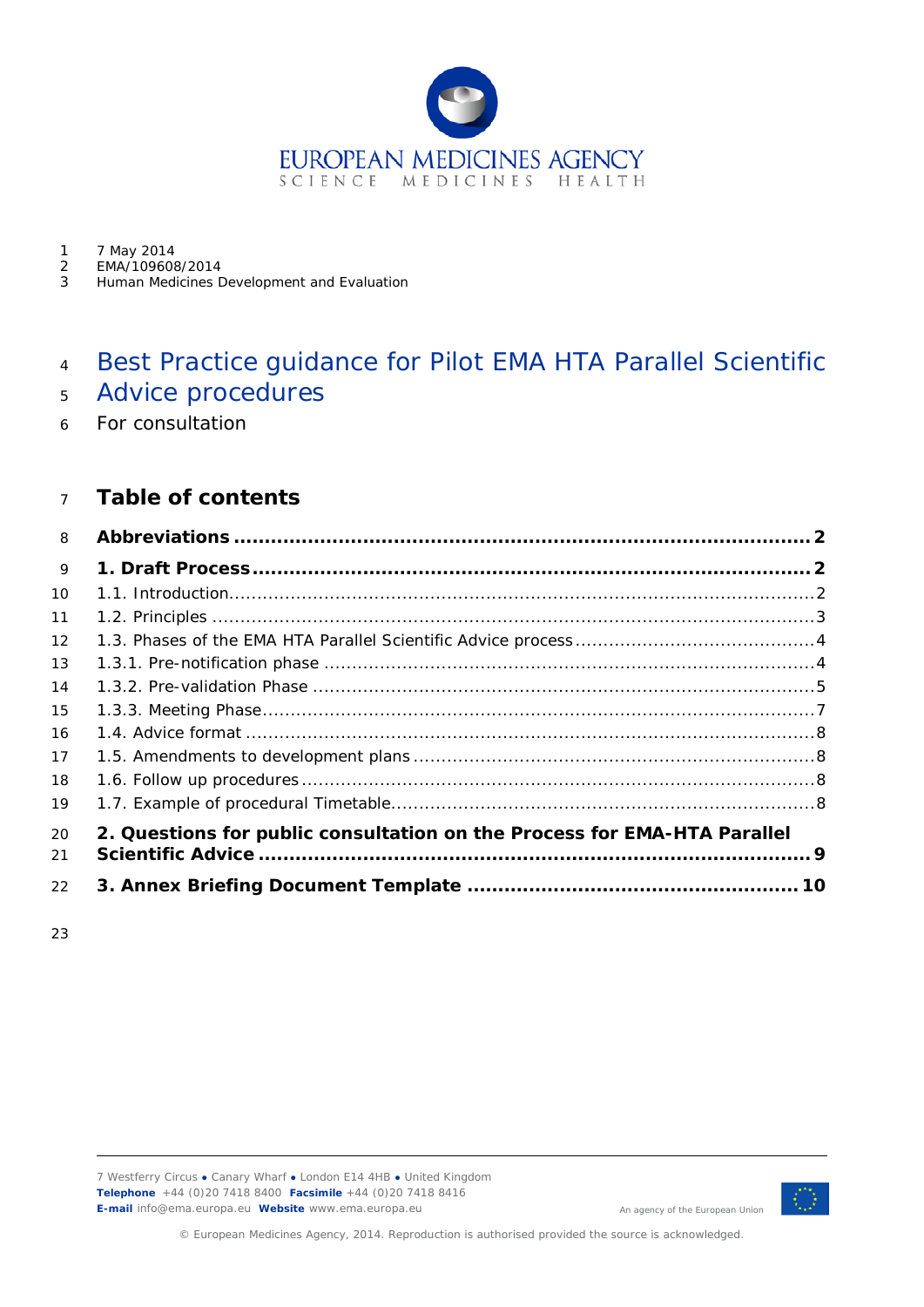

- 1 7 May 2014<br>2 EMA/109608
- 2 EMA/109608/2014<br>3 Human Medicines D
- Human Medicines Development and Evaluation

# Best Practice guidance for Pilot EMA HTA Parallel Scientific

- Advice procedures
- For consultation

|  |  |  | Table of contents |
|--|--|--|-------------------|
|--|--|--|-------------------|

| 8  |                                                                          |  |
|----|--------------------------------------------------------------------------|--|
| 9  |                                                                          |  |
| 10 |                                                                          |  |
| 11 |                                                                          |  |
| 12 |                                                                          |  |
| 13 |                                                                          |  |
| 14 |                                                                          |  |
| 15 |                                                                          |  |
| 16 |                                                                          |  |
| 17 |                                                                          |  |
| 18 |                                                                          |  |
| 19 |                                                                          |  |
| 20 | 2. Questions for public consultation on the Process for EMA-HTA Parallel |  |
| 21 |                                                                          |  |
| 22 |                                                                          |  |

7 Westferry Circus **●** Canary Wharf **●** London E14 4HB **●** United Kingdom **Telephone** +44 (0)20 7418 8400 **Facsimile** +44 (0)20 7418 8416 **E-mail** info@ema.europa.eu **Website** www.ema.europa.eu



An agency of the European Union

© European Medicines Agency, 2014. Reproduction is authorised provided the source is acknowledged.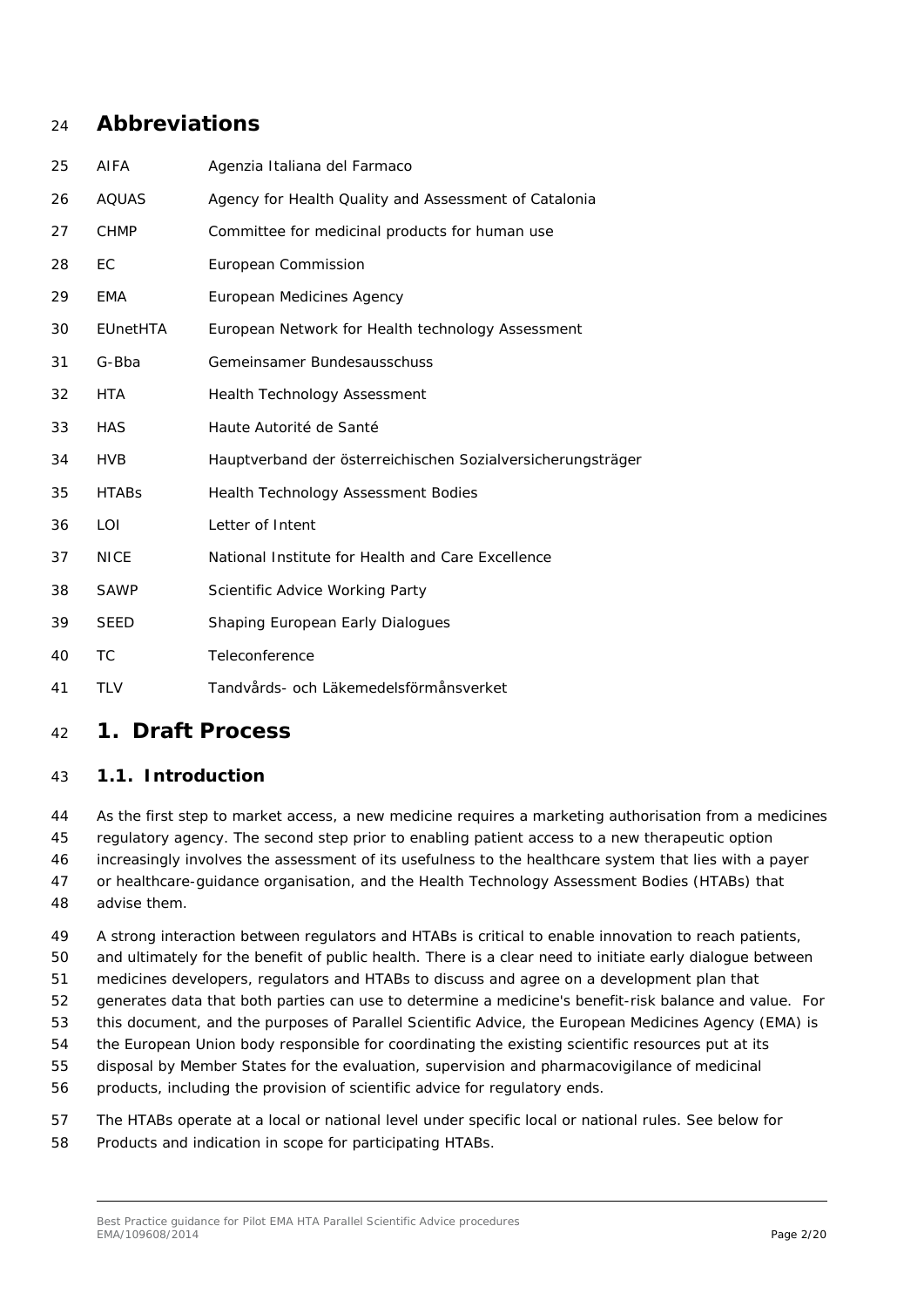# <span id="page-1-0"></span>**Abbreviations**

| 25 | AIFA            | Agenzia Italiana del Farmaco                                |
|----|-----------------|-------------------------------------------------------------|
| 26 | <b>AQUAS</b>    | Agency for Health Quality and Assessment of Catalonia       |
| 27 | <b>CHMP</b>     | Committee for medicinal products for human use              |
| 28 | EC              | European Commission                                         |
| 29 | EMA             | European Medicines Agency                                   |
| 30 | <b>EUnetHTA</b> | European Network for Health technology Assessment           |
| 31 | G-Bba           | Gemeinsamer Bundesausschuss                                 |
| 32 | HTA             | <b>Health Technology Assessment</b>                         |
| 33 | <b>HAS</b>      | Haute Autorité de Santé                                     |
| 34 | <b>HVB</b>      | Hauptverband der österreichischen Sozialversicherungsträger |
| 35 | <b>HTABs</b>    | <b>Health Technology Assessment Bodies</b>                  |
| 36 | LOI             | Letter of Intent                                            |
| 37 | <b>NICE</b>     | National Institute for Health and Care Excellence           |
| 38 | <b>SAWP</b>     | Scientific Advice Working Party                             |
| 39 | <b>SEED</b>     | Shaping European Early Dialogues                            |
| 40 | ТC              | Teleconference                                              |
| 41 | <b>TLV</b>      | Tandvårds- och Läkemedelsförmånsverket                      |

# <span id="page-1-1"></span>**1. Draft Process**

### <span id="page-1-2"></span>*1.1. Introduction*

 As the first step to market access, a new medicine requires a marketing authorisation from a medicines regulatory agency. The second step prior to enabling patient access to a new therapeutic option increasingly involves the assessment of its usefulness to the healthcare system that lies with a payer or healthcare-guidance organisation, and the Health Technology Assessment Bodies (HTABs) that advise them.

 A strong interaction between regulators and HTABs is critical to enable innovation to reach patients, and ultimately for the benefit of public health. There is a clear need to initiate early dialogue between medicines developers, regulators and HTABs to discuss and agree on a development plan that

generates data that both parties can use to determine a medicine's benefit-risk balance and value. For

this document, and the purposes of Parallel Scientific Advice, the European Medicines Agency (EMA) is

the European Union body responsible for coordinating the existing scientific resources put at its

disposal by Member States for the evaluation, supervision and pharmacovigilance of medicinal

products, including the provision of scientific advice for regulatory ends.

 The HTABs operate at a local or national level under specific local or national rules. See below for Products and indication in scope for participating HTABs.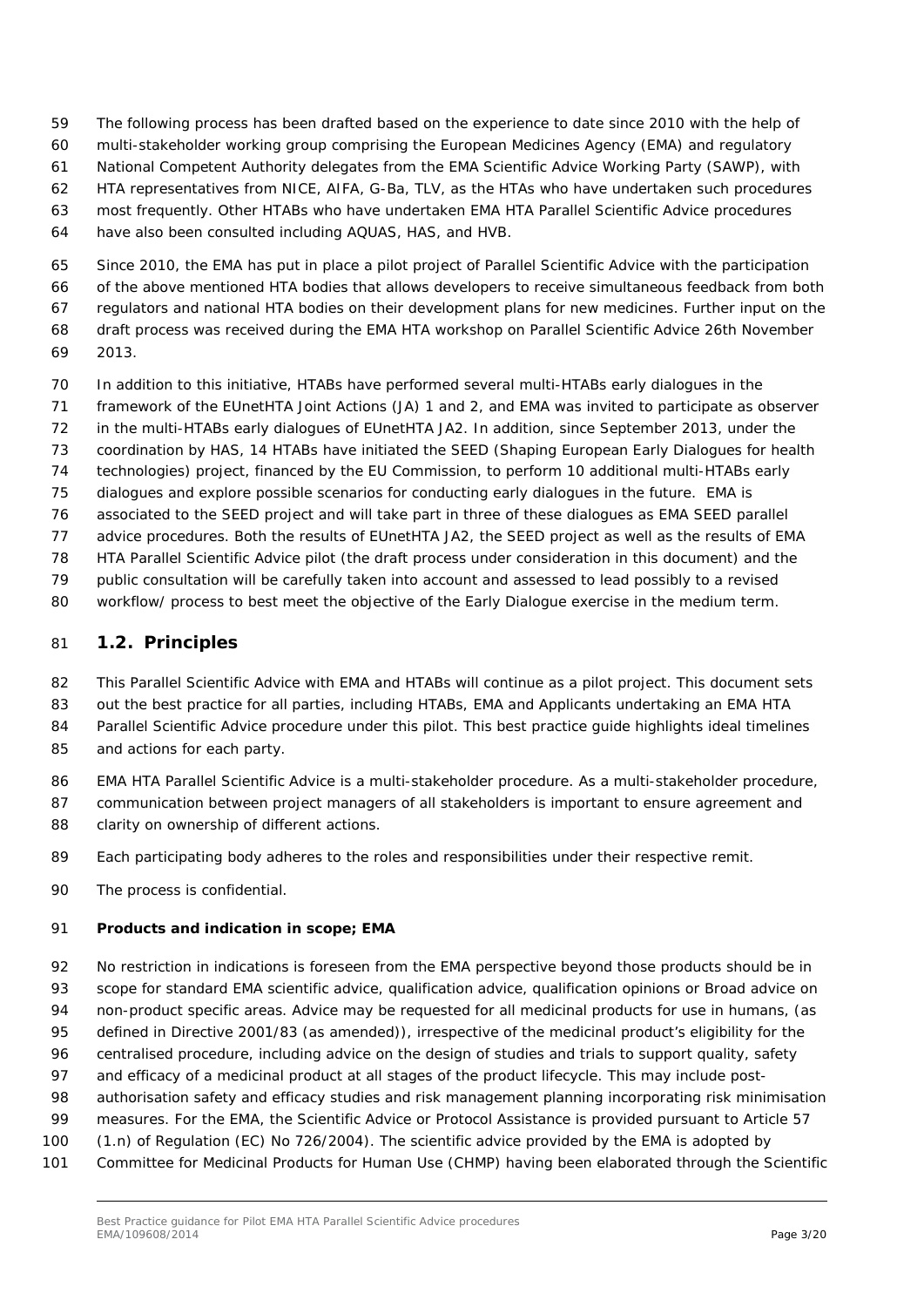- The following process has been drafted based on the experience to date since 2010 with the help of
- multi-stakeholder working group comprising the European Medicines Agency (EMA) and regulatory
- National Competent Authority delegates from the EMA Scientific Advice Working Party (SAWP), with
- HTA representatives from NICE, AIFA, G-Ba, TLV, as the HTAs who have undertaken such procedures
- most frequently. Other HTABs who have undertaken EMA HTA Parallel Scientific Advice procedures
- have also been consulted including AQUAS, HAS, and HVB.
- Since 2010, the EMA has put in place a pilot project of Parallel Scientific Advice with the participation
- of the above mentioned HTA bodies that allows developers to receive simultaneous feedback from both
- regulators and national HTA bodies on their development plans for new medicines. Further input on the
- draft process was received during the EMA HTA workshop on Parallel Scientific Advice 26th November
- 2013.
- In addition to this initiative, HTABs have performed several multi-HTABs early dialogues in the
- framework of the EUnetHTA Joint Actions (JA) 1 and 2, and EMA was invited to participate as observer
- in the multi-HTABs early dialogues of EUnetHTA JA2. In addition, since September 2013, under the
- coordination by HAS, 14 HTABs have initiated the SEED (Shaping European Early Dialogues for health
- technologies) project, financed by the EU Commission, to perform 10 additional multi-HTABs early
- dialogues and explore possible scenarios for conducting early dialogues in the future. EMA is
- associated to the SEED project and will take part in three of these dialogues as EMA SEED parallel
- advice procedures. Both the results of EUnetHTA JA2, the SEED project as well as the results of EMA
- HTA Parallel Scientific Advice pilot (the draft process under consideration in this document) and the
- public consultation will be carefully taken into account and assessed to lead possibly to a revised
- 80 workflow/ process to best meet the objective of the Early Dialogue exercise in the medium term.

# <span id="page-2-0"></span>*1.2. Principles*

- 82 This Parallel Scientific Advice with EMA and HTABs will continue as a pilot project. This document sets
- 83 out the best practice for all parties, including HTABs, EMA and Applicants undertaking an EMA HTA
- Parallel Scientific Advice procedure under this pilot. This best practice guide highlights ideal timelines
- and actions for each party.
- EMA HTA Parallel Scientific Advice is a multi-stakeholder procedure. As a multi-stakeholder procedure,
- communication between project managers of all stakeholders is important to ensure agreement and 88 clarity on ownership of different actions.
- 
- Each participating body adheres to the roles and responsibilities under their respective remit.
- The process is confidential.

# **Products and indication in scope; EMA**

- No restriction in indications is foreseen from the EMA perspective beyond those products should be in scope for standard EMA scientific advice, qualification advice, qualification opinions or Broad advice on non-product specific areas. Advice may be requested for all medicinal products for use in humans, (as
- defined in Directive 2001/83 (as amended)), irrespective of the medicinal product's eligibility for the
- centralised procedure, including advice on the design of studies and trials to support quality, safety
- 97 and efficacy of a medicinal product at all stages of the product lifecycle. This may include post-
- authorisation safety and efficacy studies and risk management planning incorporating risk minimisation
- measures. For the EMA, the Scientific Advice or Protocol Assistance is provided pursuant to Article 57
- (1.n) of Regulation (EC) No 726/2004). The scientific advice provided by the EMA is adopted by
- Committee for Medicinal Products for Human Use (CHMP) having been elaborated through the Scientific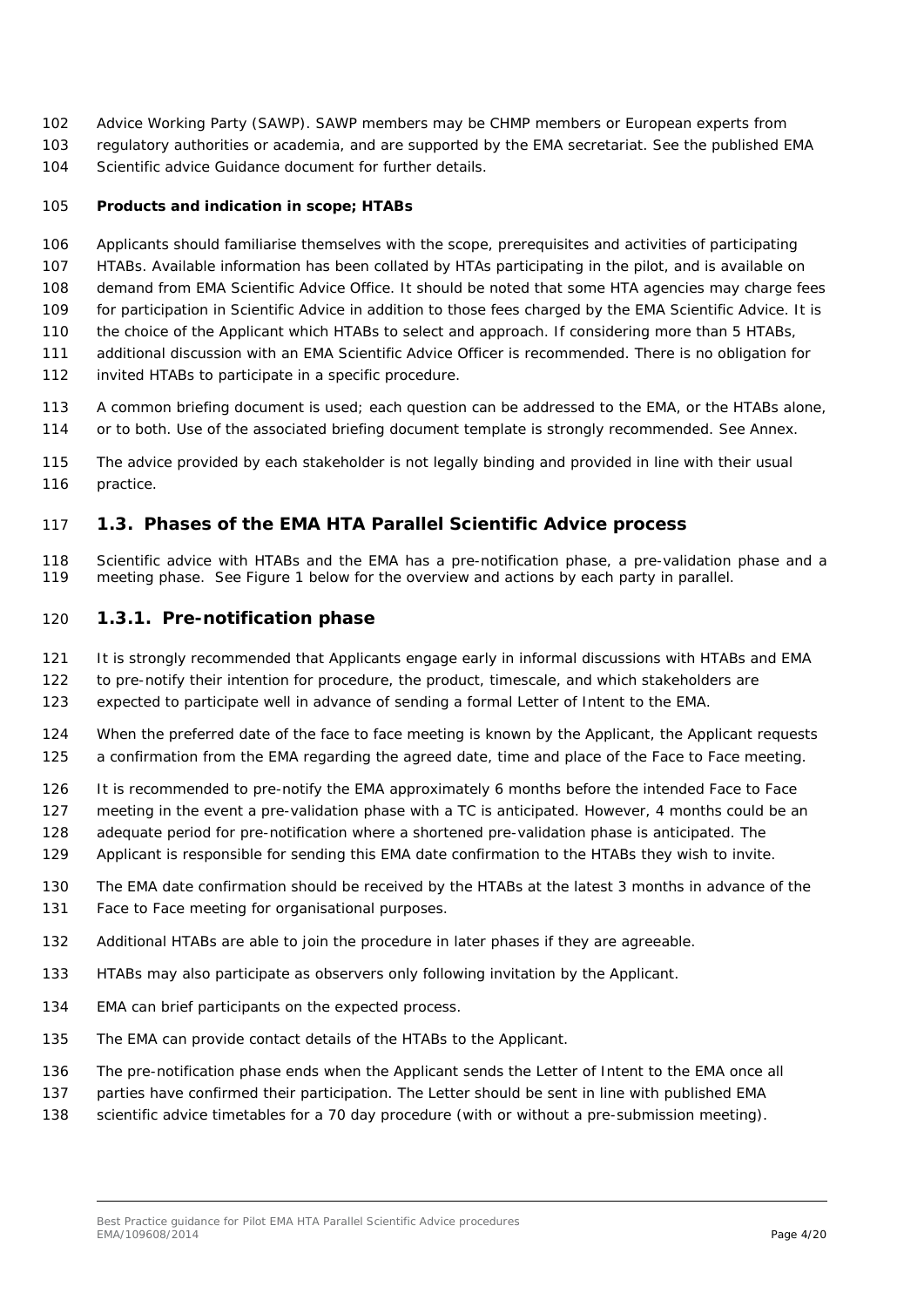- Advice Working Party (SAWP). SAWP members may be CHMP members or European experts from
- regulatory authorities or academia, and are supported by the EMA secretariat. See the published [EMA](http://www.ema.europa.eu/ema/index.jsp?curl=pages/regulation/general/general_content_000049.jsp&mid=WC0b01ac05800229b9)
- [Scientific advice Guidance document for further details.](http://www.ema.europa.eu/ema/index.jsp?curl=pages/regulation/general/general_content_000049.jsp&mid=WC0b01ac05800229b9)

### **Products and indication in scope; HTABs**

- Applicants should familiarise themselves with the scope, prerequisites and activities of participating
- HTABs. Available information has been collated by HTAs participating in the pilot, and is available on
- demand from EMA Scientific Advice Office. It should be noted that *some* HTA agencies may charge fees
- for participation in Scientific Advice in addition to those fees charged by the EMA Scientific Advice. It is the choice of the Applicant which HTABs to select and approach. If considering more than 5 HTABs,
- additional discussion with an EMA Scientific Advice Officer is recommended. There is no obligation for
- invited HTABs to participate in a specific procedure.
- A common briefing document is used; each question can be addressed to the EMA, or the HTABs alone, 114 or to both. Use of the associated briefing document template is strongly recommended. See Annex.
- The advice provided by each stakeholder is not legally binding and provided in line with their usual
- 116 practice.

### <span id="page-3-0"></span>*1.3. Phases of the EMA HTA Parallel Scientific Advice process*

 Scientific advice with HTABs and the EMA has a pre-notification phase, a pre-validation phase and a meeting phase. See Figure 1 below for the overview and actions by each party in parallel.

### <span id="page-3-1"></span>**1.3.1. Pre-notification phase**

- It is strongly recommended that Applicants engage early in informal discussions with HTABs and EMA
- to pre-notify their intention for procedure, the product, timescale, and which stakeholders are
- expected to participate well in advance of sending a formal Letter of Intent to the EMA.
- 124 When the preferred date of the face to face meeting is known by the Applicant, the Applicant requests a confirmation from the EMA regarding the agreed date, time and place of the Face to Face meeting.
- It is recommended to pre-notify the EMA approximately 6 months before the intended Face to Face
- meeting in the event a pre-validation phase with a TC is anticipated. However, 4 months could be an
- adequate period for pre-notification where a shortened pre-validation phase is anticipated. The
- Applicant is responsible for sending this EMA date confirmation to the HTABs they wish to invite.
- The EMA date confirmation should be received by the HTABs at the latest 3 months in advance of the
- Face to Face meeting for organisational purposes.
- Additional HTABs are able to join the procedure in later phases if they are agreeable.
- HTABs may also participate as observers only following invitation by the Applicant.
- EMA can brief participants on the expected process.
- The EMA can provide contact details of the HTABs to the Applicant.
- The pre-notification phase ends when the Applicant sends the Letter of Intent to the EMA once all
- parties have confirmed their participation. The Letter should be sent in line with published EMA
- scientific advice timetables for a 70 day procedure (with or without a pre-submission meeting).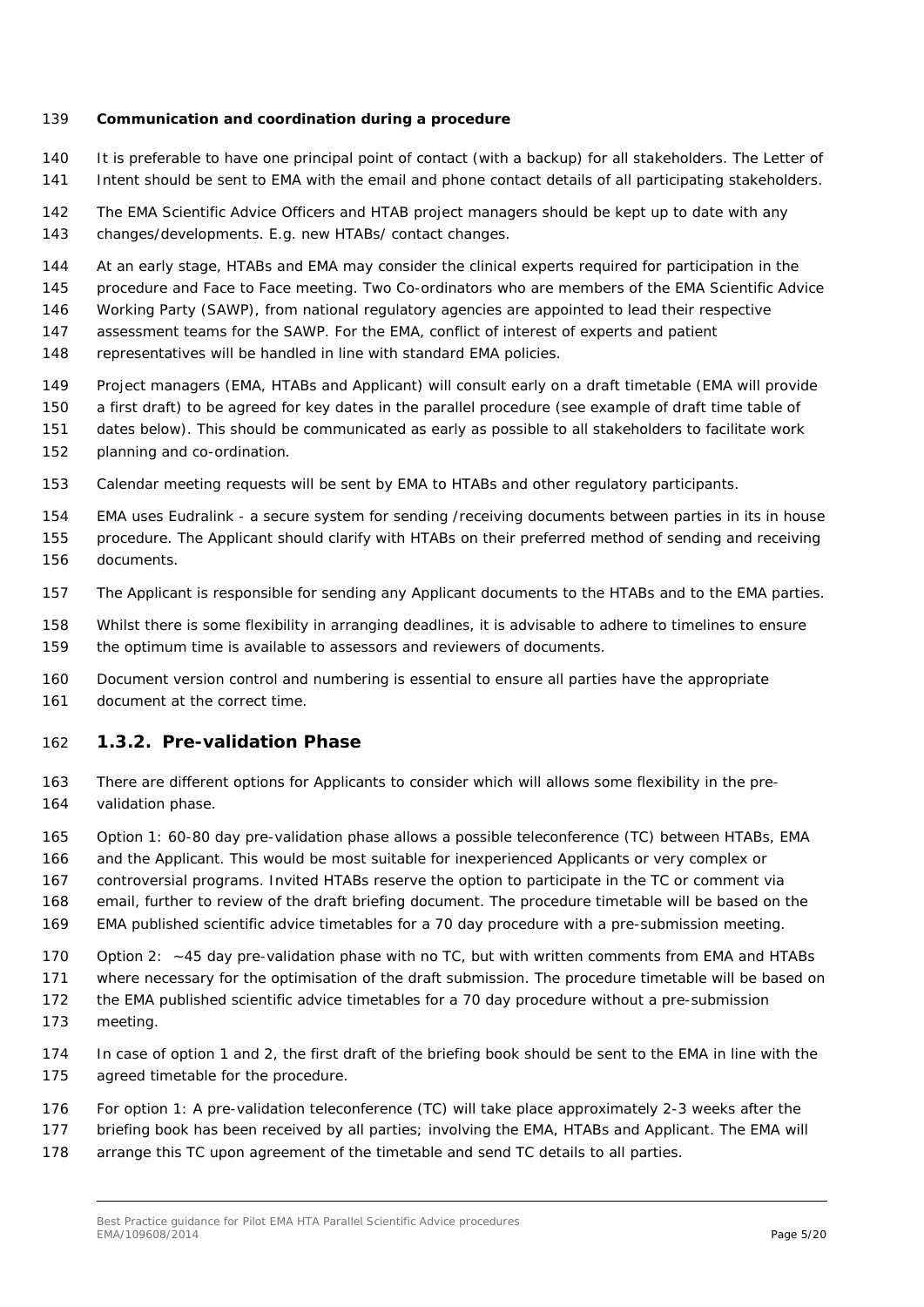#### **Communication and coordination during a procedure**

- It is preferable to have one principal point of contact (with a backup) for all stakeholders. The Letter of Intent should be sent to EMA with the email and phone contact details of all participating stakeholders.
- The EMA Scientific Advice Officers and HTAB project managers should be kept up to date with any changes/developments. E.g. new HTABs/ contact changes.
- At an early stage, HTABs and EMA may consider the clinical experts required for participation in the
- procedure and Face to Face meeting. Two Co-ordinators who are members of the EMA Scientific Advice
- Working Party (SAWP), from national regulatory agencies are appointed to lead their respective
- assessment teams for the SAWP. For the EMA, conflict of interest of experts and patient
- representatives will be handled in line with standard EMA policies.
- Project managers (EMA, HTABs and Applicant) will consult early on a draft timetable (EMA will provide
- a first draft) to be agreed for key dates in the parallel procedure (see example of draft time table of
- dates below). This should be communicated as early as possible to all stakeholders to facilitate work
- planning and co-ordination.
- Calendar meeting requests will be sent by EMA to HTABs and other regulatory participants.
- EMA uses Eudralink a secure system for sending /receiving documents between parties in its in house
- procedure. The Applicant should clarify with HTABs on their preferred method of sending and receiving documents.
- The Applicant is responsible for sending any Applicant documents to the HTABs and to the EMA parties.
- Whilst there is some flexibility in arranging deadlines, it is advisable to adhere to timelines to ensure the optimum time is available to assessors and reviewers of documents.
- Document version control and numbering is essential to ensure all parties have the appropriate document at the correct time.

### <span id="page-4-0"></span>**1.3.2. Pre-validation Phase**

- There are different options for Applicants to consider which will allows some flexibility in the pre-validation phase.
- Option 1: 60-80 day pre-validation phase allows a possible teleconference (TC) between HTABs, EMA and the Applicant. This would be most suitable for inexperienced Applicants or very complex or controversial programs. Invited HTABs reserve the option to participate in the TC or comment via
- email, further to review of the draft briefing document. The procedure timetable will be based on the
- EMA published scientific advice timetables for a 70 day procedure with a pre-submission meeting.
- 170 Option 2: ~45 day pre-validation phase with no TC, but with written comments from EMA and HTABs
- where necessary for the optimisation of the draft submission. The procedure timetable will be based on
- the EMA published scientific advice timetables for a 70 day procedure without a pre-submission
- meeting.
- In case of option 1 and 2, the first draft of the briefing book should be sent to the EMA in line with the agreed timetable for the procedure.
- For option 1: A pre-validation teleconference (TC) will take place approximately 2-3 weeks after the
- briefing book has been received by all parties; involving the EMA, HTABs and Applicant. The EMA will
- arrange this TC upon agreement of the timetable and send TC details to all parties.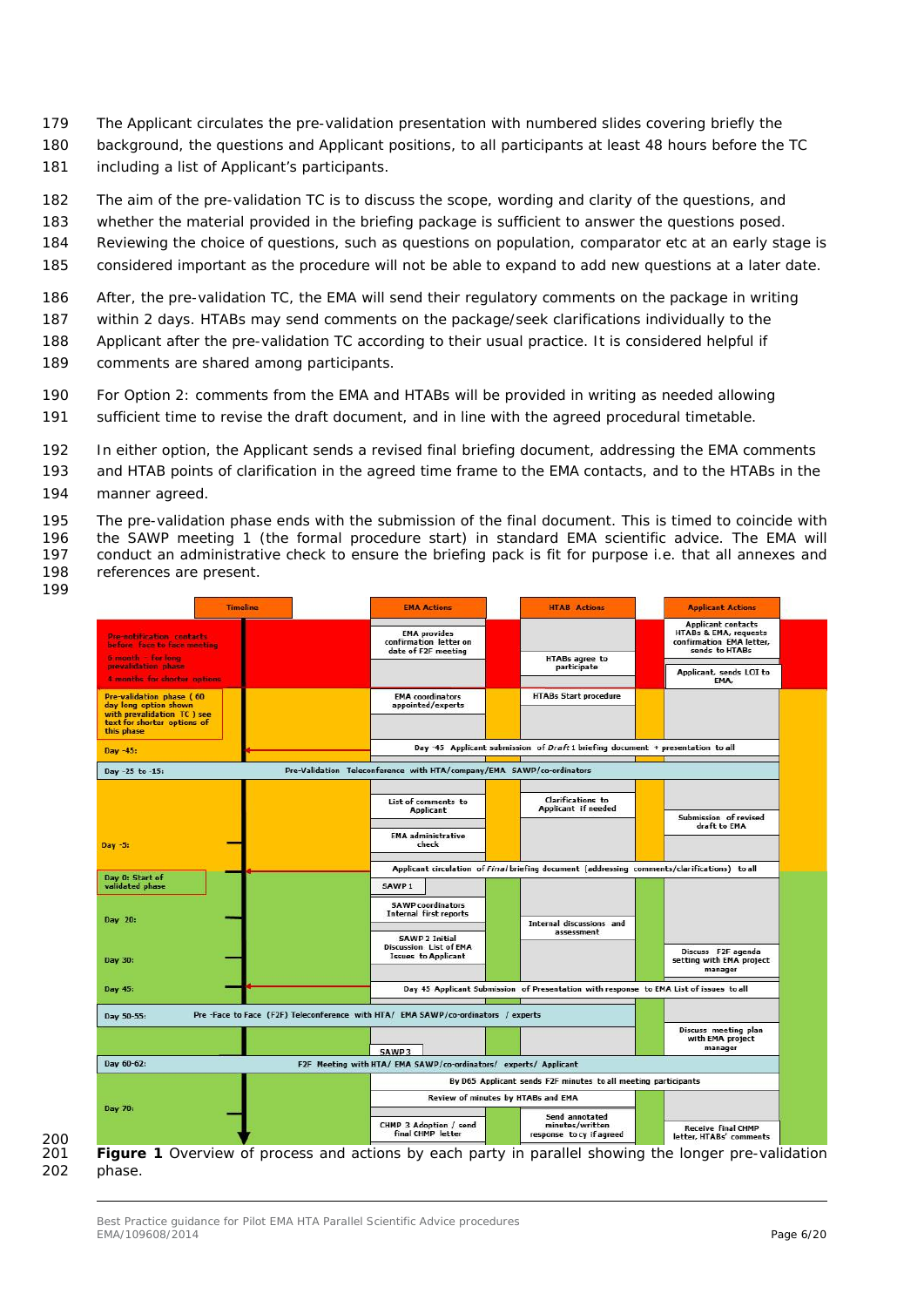- The Applicant circulates the pre-validation presentation with numbered slides covering briefly the
- background, the questions and Applicant positions, to all participants at least 48 hours before the TC 181 including a list of Applicant's participants.
- The aim of the pre-validation TC is to discuss the scope, wording and clarity of the questions, and
- whether the material provided in the briefing package is sufficient to answer the questions posed.
- Reviewing the choice of questions, such as questions on population, comparator etc at an early stage is
- considered important as the procedure will not be able to expand to add new questions at a later date.
- After, the pre-validation TC, the EMA will send their regulatory comments on the package in writing
- within 2 days. HTABs may send comments on the package/seek clarifications individually to the
- Applicant after the pre-validation TC according to their usual practice. It is considered helpful if comments are shared among participants.
- For Option 2: comments from the EMA and HTABs will be provided in writing as needed allowing
- sufficient time to revise the draft document, and in line with the agreed procedural timetable.
- In either option, the Applicant sends a revised final briefing document, addressing the EMA comments
- and HTAB points of clarification in the agreed time frame to the EMA contacts, and to the HTABs in the
- manner agreed.
- The pre-validation phase ends with the submission of the final document. This is timed to coincide with 196 the SAWP meeting 1 (the formal procedure start) in standard EMA scientific advice. The EMA will<br>197 conduct an administrative check to ensure the briefing pack is fit for purpose i.e. that all annexes and 197 conduct an administrative check to ensure the briefing pack is fit for purpose i.e. that all annexes and references are present references are present.
- 

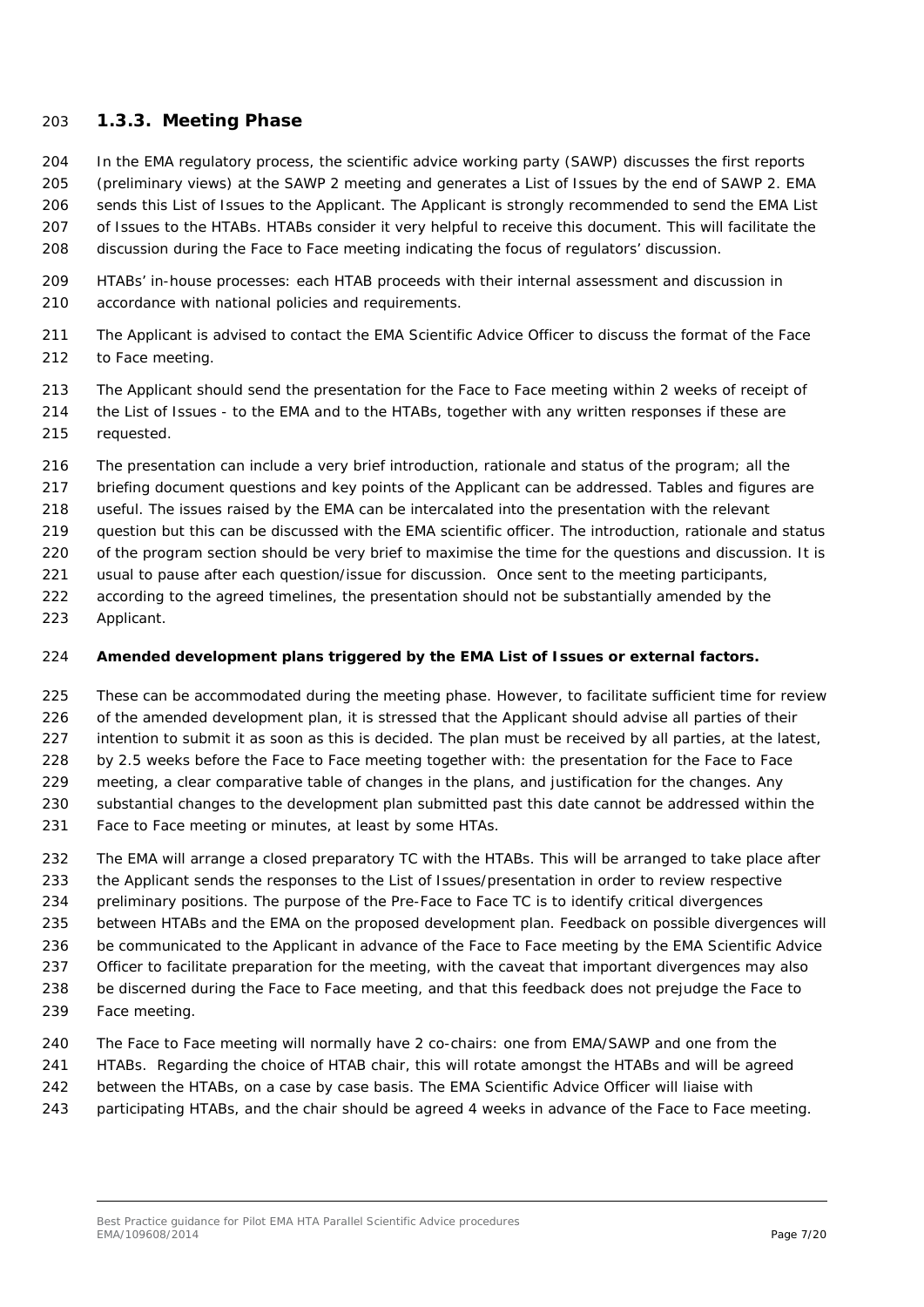### <span id="page-6-0"></span>**1.3.3. Meeting Phase**

- In the EMA regulatory process, the scientific advice working party (SAWP) discusses the first reports (preliminary views) at the SAWP 2 meeting and generates a List of Issues by the end of SAWP 2. EMA sends this List of Issues to the Applicant. The Applicant is strongly recommended to send the EMA List of Issues to the HTABs. HTABs consider it very helpful to receive this document. This will facilitate the discussion during the Face to Face meeting indicating the focus of regulators' discussion.
- HTABs' in-house processes: each HTAB proceeds with their internal assessment and discussion in accordance with national policies and requirements.
- The Applicant is advised to contact the EMA Scientific Advice Officer to discuss the format of the Face to Face meeting.
- The Applicant should send the presentation for the Face to Face meeting within 2 weeks of receipt of
- the List of Issues to the EMA and to the HTABs, together with any written responses if these are requested.
- The presentation can include a very brief introduction, rationale and status of the program; all the
- briefing document questions and key points of the Applicant can be addressed. Tables and figures are
- useful. The issues raised by the EMA can be intercalated into the presentation with the relevant
- question but this can be discussed with the EMA scientific officer. The introduction, rationale and status
- 220 of the program section should be very brief to maximise the time for the questions and discussion. It is
- usual to pause after each question/issue for discussion. Once sent to the meeting participants,
- according to the agreed timelines, the presentation should not be substantially amended by the
- Applicant.

### **Amended development plans triggered by the EMA List of Issues or external factors.**

- These can be accommodated during the meeting phase. However, to facilitate sufficient time for review 226 of the amended development plan, it is stressed that the Applicant should advise all parties of their 227 intention to submit it as soon as this is decided. The plan must be received by all parties, at the latest, by 2.5 weeks before the Face to Face meeting together with: the presentation for the Face to Face meeting, a clear comparative table of changes in the plans, and justification for the changes. Any
- substantial changes to the development plan submitted past this date cannot be addressed within the
- Face to Face meeting or minutes, at least by some HTAs.
- 232 The EMA will arrange a closed preparatory TC with the HTABs. This will be arranged to take place after the Applicant sends the responses to the List of Issues/presentation in order to review respective
- preliminary positions. The purpose of the Pre-Face to Face TC is to identify critical divergences
- between HTABs and the EMA on the proposed development plan. Feedback on possible divergences will
- be communicated to the Applicant in advance of the Face to Face meeting by the EMA Scientific Advice
- 237 Officer to facilitate preparation for the meeting, with the caveat that important divergences may also
- be discerned during the Face to Face meeting, and that this feedback does not prejudge the Face to
- Face meeting.
- The Face to Face meeting will normally have 2 co-chairs: one from EMA/SAWP and one from the
- HTABs. Regarding the choice of HTAB chair, this will rotate amongst the HTABs and will be agreed
- between the HTABs, on a case by case basis. The EMA Scientific Advice Officer will liaise with
- participating HTABs, and the chair should be agreed 4 weeks in advance of the Face to Face meeting.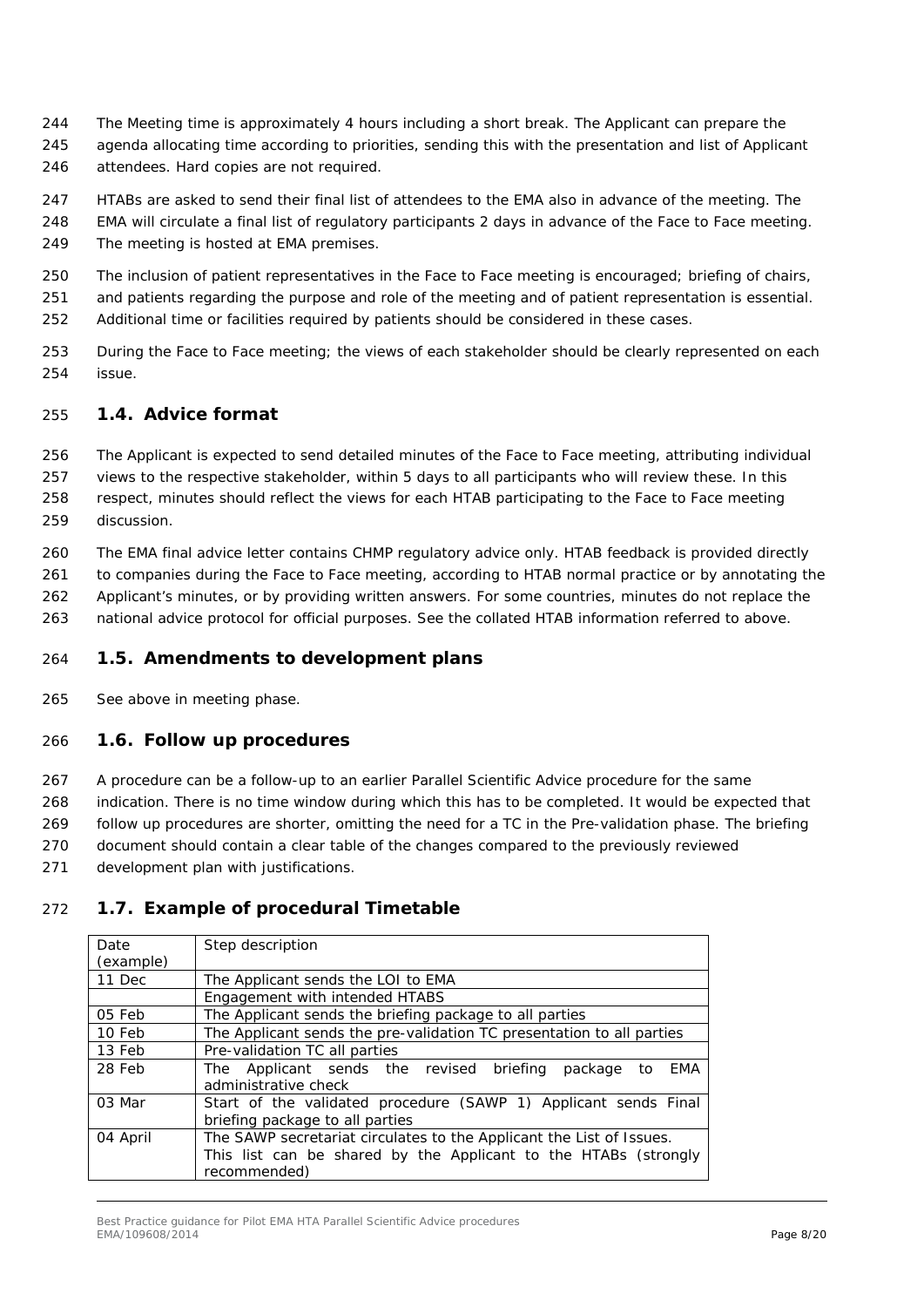- The Meeting time is approximately 4 hours including a short break. The Applicant can prepare the
- agenda allocating time according to priorities, sending this with the presentation and list of Applicant
- attendees. Hard copies are not required.
- HTABs are asked to send their final list of attendees to the EMA also in advance of the meeting. The
- EMA will circulate a final list of regulatory participants 2 days in advance of the Face to Face meeting.
- The meeting is hosted at EMA premises.
- The inclusion of patient representatives in the Face to Face meeting is encouraged; briefing of chairs,
- and patients regarding the purpose and role of the meeting and of patient representation is essential.
- Additional time or facilities required by patients should be considered in these cases.
- During the Face to Face meeting; the views of each stakeholder should be clearly represented on each issue.

# <span id="page-7-0"></span>*1.4. Advice format*

- The Applicant is expected to send detailed minutes of the Face to Face meeting, attributing individual
- views to the respective stakeholder, within 5 days to all participants who will review these. In this respect, minutes should reflect the views for each HTAB participating to the Face to Face meeting
- discussion.
- The EMA final advice letter contains CHMP regulatory advice only. HTAB feedback is provided directly
- to companies during the Face to Face meeting, according to HTAB normal practice or by annotating the Applicant's minutes, or by providing written answers. For some countries, minutes do not replace the
- national advice protocol for official purposes. See the collated HTAB information referred to above.
- <span id="page-7-1"></span>*1.5. Amendments to development plans*
- See above in meeting phase.

# <span id="page-7-2"></span>*1.6. Follow up procedures*

- A procedure can be a follow-up to an earlier Parallel Scientific Advice procedure for the same indication. There is no time window during which this has to be completed. It would be expected that
- follow up procedures are shorter, omitting the need for a TC in the Pre-validation phase. The briefing
- document should contain a clear table of the changes compared to the previously reviewed
- development plan with justifications.

# *1.7. Example of procedural Timetable*

<span id="page-7-3"></span>

| Date<br>(example) | Step description                                                                                                                                        |
|-------------------|---------------------------------------------------------------------------------------------------------------------------------------------------------|
| 11 Dec            | The Applicant sends the LOI to EMA                                                                                                                      |
|                   | Engagement with intended HTABS                                                                                                                          |
| 05 Feb            | The Applicant sends the briefing package to all parties                                                                                                 |
| 10 Feb            | The Applicant sends the pre-validation TC presentation to all parties                                                                                   |
| 13 Feb            | Pre-validation TC all parties                                                                                                                           |
| 28 Feb            | The Applicant sends the revised briefing<br>EMA<br>package<br>to<br>administrative check                                                                |
| 03 Mar            | Start of the validated procedure (SAWP 1) Applicant sends Final<br>briefing package to all parties                                                      |
| 04 April          | The SAWP secretariat circulates to the Applicant the List of Issues.<br>This list can be shared by the Applicant to the HTABs (strongly<br>recommended) |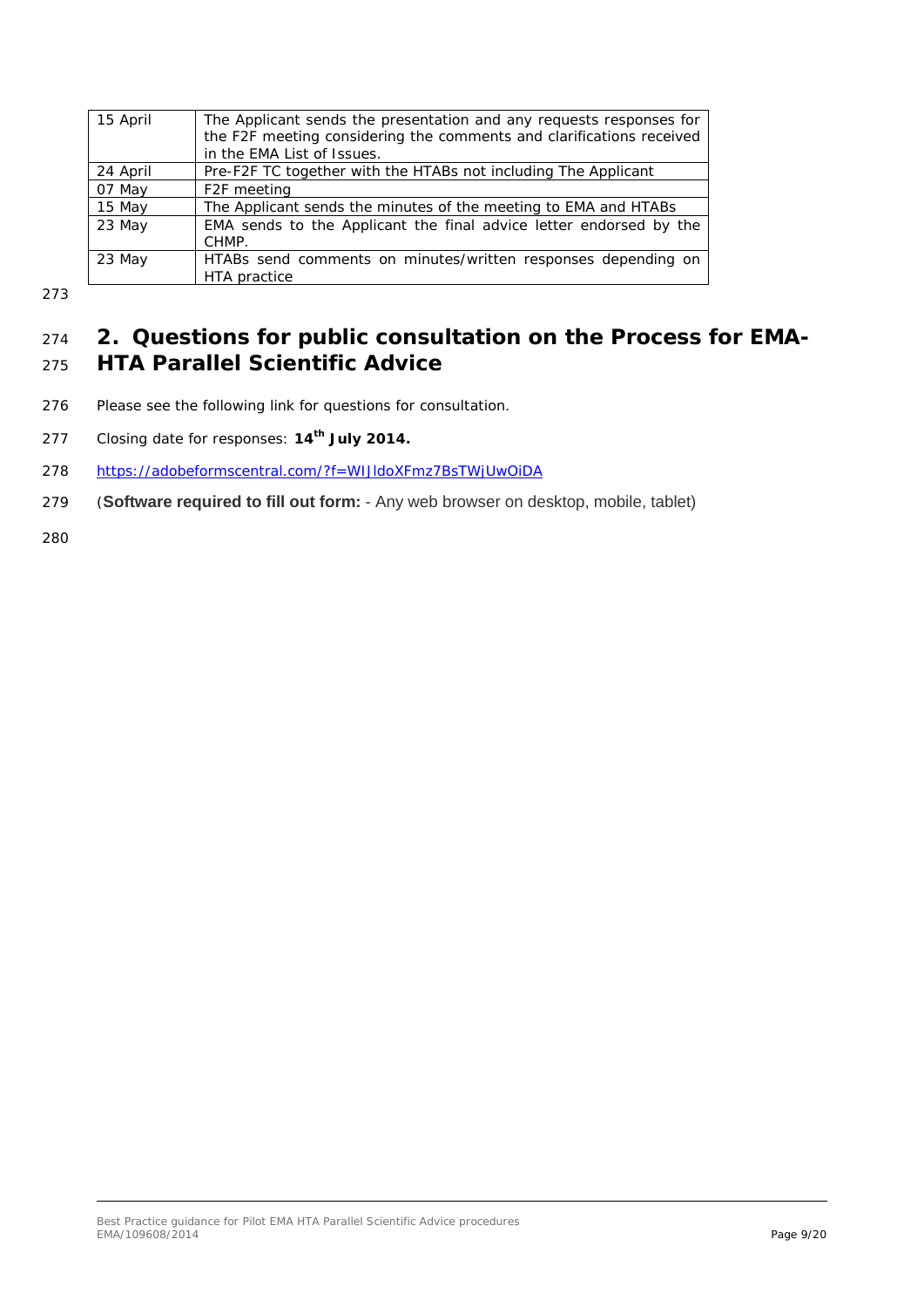| 15 April | The Applicant sends the presentation and any requests responses for<br>the F2F meeting considering the comments and clarifications received<br>in the EMA List of Issues. |
|----------|---------------------------------------------------------------------------------------------------------------------------------------------------------------------------|
| 24 April | Pre-F2F TC together with the HTABs not including The Applicant                                                                                                            |
| 07 May   | F <sub>2F</sub> meeting                                                                                                                                                   |
| 15 May   | The Applicant sends the minutes of the meeting to EMA and HTABs                                                                                                           |
| 23 May   | EMA sends to the Applicant the final advice letter endorsed by the<br>CHMP.                                                                                               |
| 23 May   | HTABs send comments on minutes/written responses depending on<br>HTA practice                                                                                             |

# <span id="page-8-0"></span><sup>274</sup> **2. Questions for public consultation on the Process for EMA-**<sup>275</sup> **HTA Parallel Scientific Advice**

- 276 Please see the following link for questions for consultation.
- 277 Closing date for responses: **14<sup>th</sup> July 2014.**
- 278 <https://adobeformscentral.com/?f=WIJldoXFmz7BsTWjUwOiDA>
- 279 (**Software required to fill out form:** Any web browser on desktop, mobile, tablet)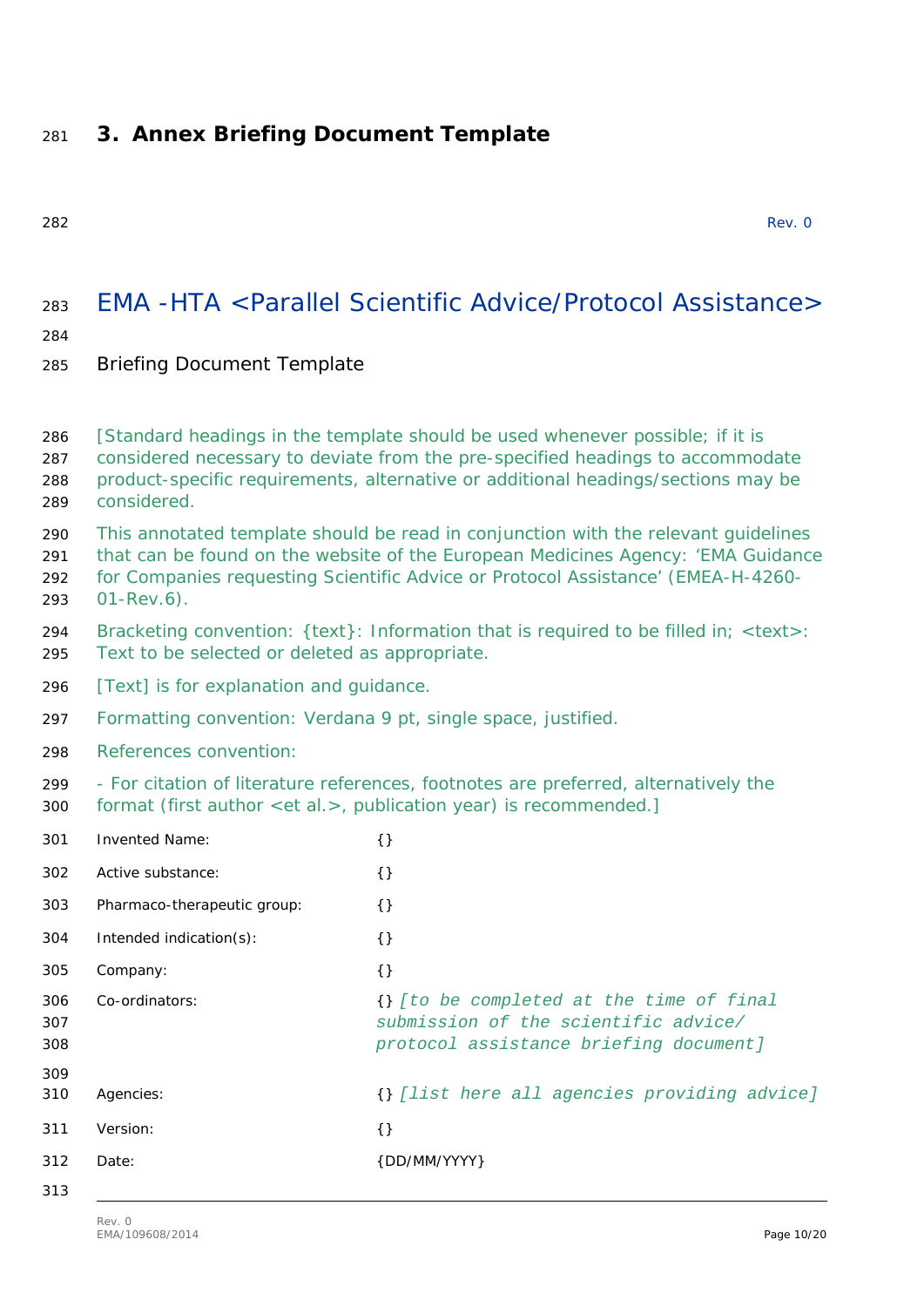# <span id="page-9-0"></span>**3. Annex Briefing Document Template**

| ۰. |  |
|----|--|

Rev. 0

# EMA -HTA <Parallel Scientific Advice/Protocol Assistance>

### 

# Briefing Document Template

| 286<br>287<br>288<br>289 | [Standard headings in the template should be used whenever possible; if it is<br>considered necessary to deviate from the pre-specified headings to accommodate<br>product-specific requirements, alternative or additional headings/sections may be<br>considered.         |                                                                                                                            |  |
|--------------------------|-----------------------------------------------------------------------------------------------------------------------------------------------------------------------------------------------------------------------------------------------------------------------------|----------------------------------------------------------------------------------------------------------------------------|--|
| 290<br>291<br>292<br>293 | This annotated template should be read in conjunction with the relevant guidelines<br>that can be found on the website of the European Medicines Agency: 'EMA Guidance<br>for Companies requesting Scientific Advice or Protocol Assistance' (EMEA-H-4260-<br>$01$ -Rev.6). |                                                                                                                            |  |
| 294<br>295               | Bracketing convention: {text}: Information that is required to be filled in; <text>:<br/>Text to be selected or deleted as appropriate.</text>                                                                                                                              |                                                                                                                            |  |
| 296                      | [Text] is for explanation and guidance.                                                                                                                                                                                                                                     |                                                                                                                            |  |
| 297                      | Formatting convention: Verdana 9 pt, single space, justified.                                                                                                                                                                                                               |                                                                                                                            |  |
| 298                      | References convention:                                                                                                                                                                                                                                                      |                                                                                                                            |  |
| 299<br>300               | - For citation of literature references, footnotes are preferred, alternatively the<br>format (first author <et al.="">, publication year) is recommended.]</et>                                                                                                            |                                                                                                                            |  |
| 301                      | <b>Invented Name:</b>                                                                                                                                                                                                                                                       | $\{\}$                                                                                                                     |  |
| 302                      | Active substance:                                                                                                                                                                                                                                                           | $\{\}$                                                                                                                     |  |
| 303                      | Pharmaco-therapeutic group:                                                                                                                                                                                                                                                 | $\{\}$                                                                                                                     |  |
| 304                      | Intended indication(s):                                                                                                                                                                                                                                                     | $\{\}$                                                                                                                     |  |
| 305                      | Company:                                                                                                                                                                                                                                                                    | $\{\}$                                                                                                                     |  |
| 306<br>307<br>308        | Co-ordinators:                                                                                                                                                                                                                                                              | {} [to be completed at the time of final<br>submission of the scientific advice/<br>protocol assistance briefing document] |  |
| 309<br>310               | Agencies:                                                                                                                                                                                                                                                                   | {} [list here all agencies providing advice]                                                                               |  |
|                          |                                                                                                                                                                                                                                                                             |                                                                                                                            |  |
| 311                      | Version:                                                                                                                                                                                                                                                                    | $\{\}$                                                                                                                     |  |
| 312                      | Date:                                                                                                                                                                                                                                                                       | {DD/MM/YYYY}                                                                                                               |  |
| 313                      |                                                                                                                                                                                                                                                                             |                                                                                                                            |  |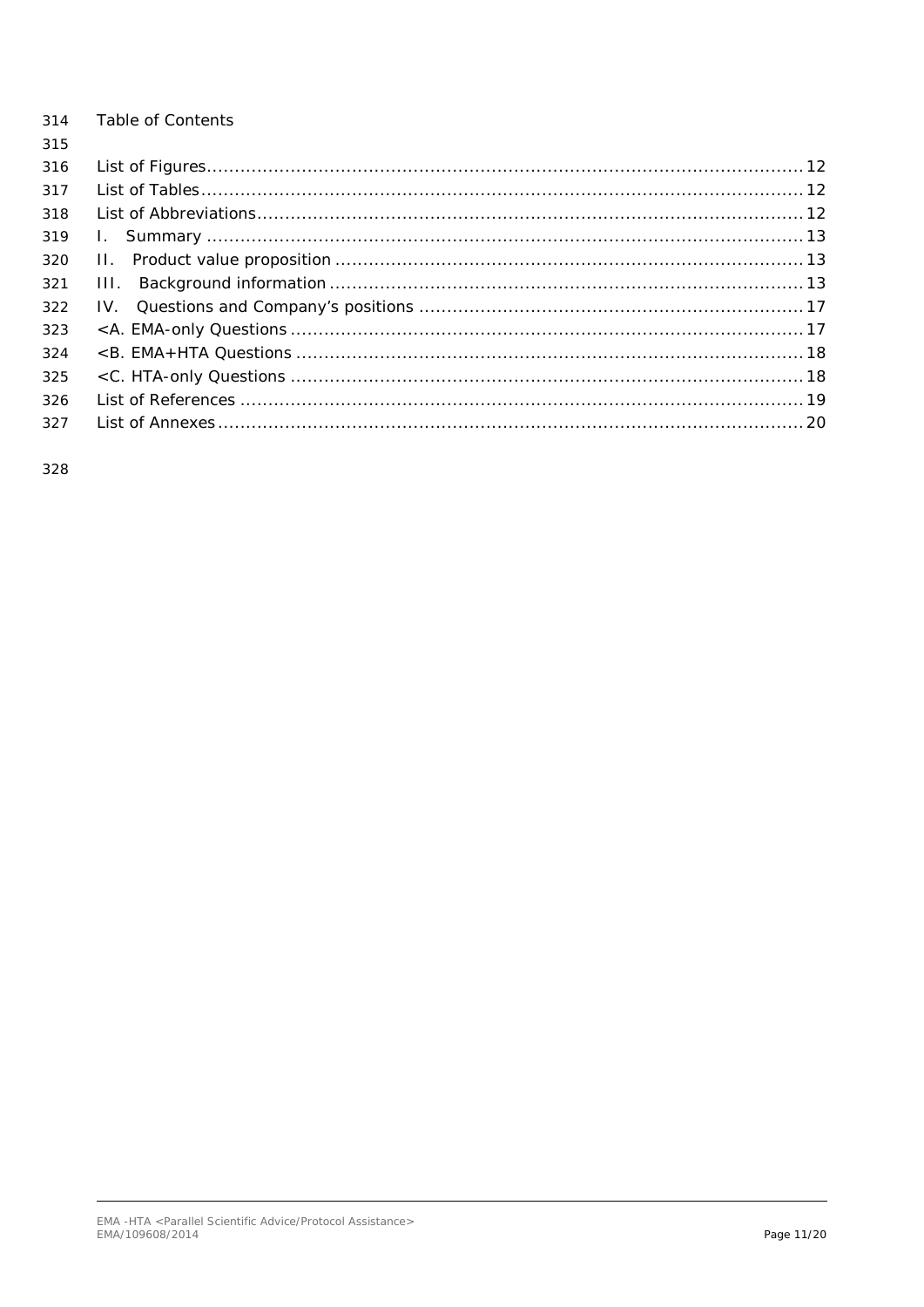| 314 | Table of Contents |  |
|-----|-------------------|--|
| 315 |                   |  |
| 316 |                   |  |
| 317 |                   |  |
| 318 |                   |  |
| 319 |                   |  |
| 320 |                   |  |
| 321 | 111.              |  |
| 322 |                   |  |
| 323 |                   |  |
| 324 |                   |  |
| 325 |                   |  |
| 326 |                   |  |
| 327 |                   |  |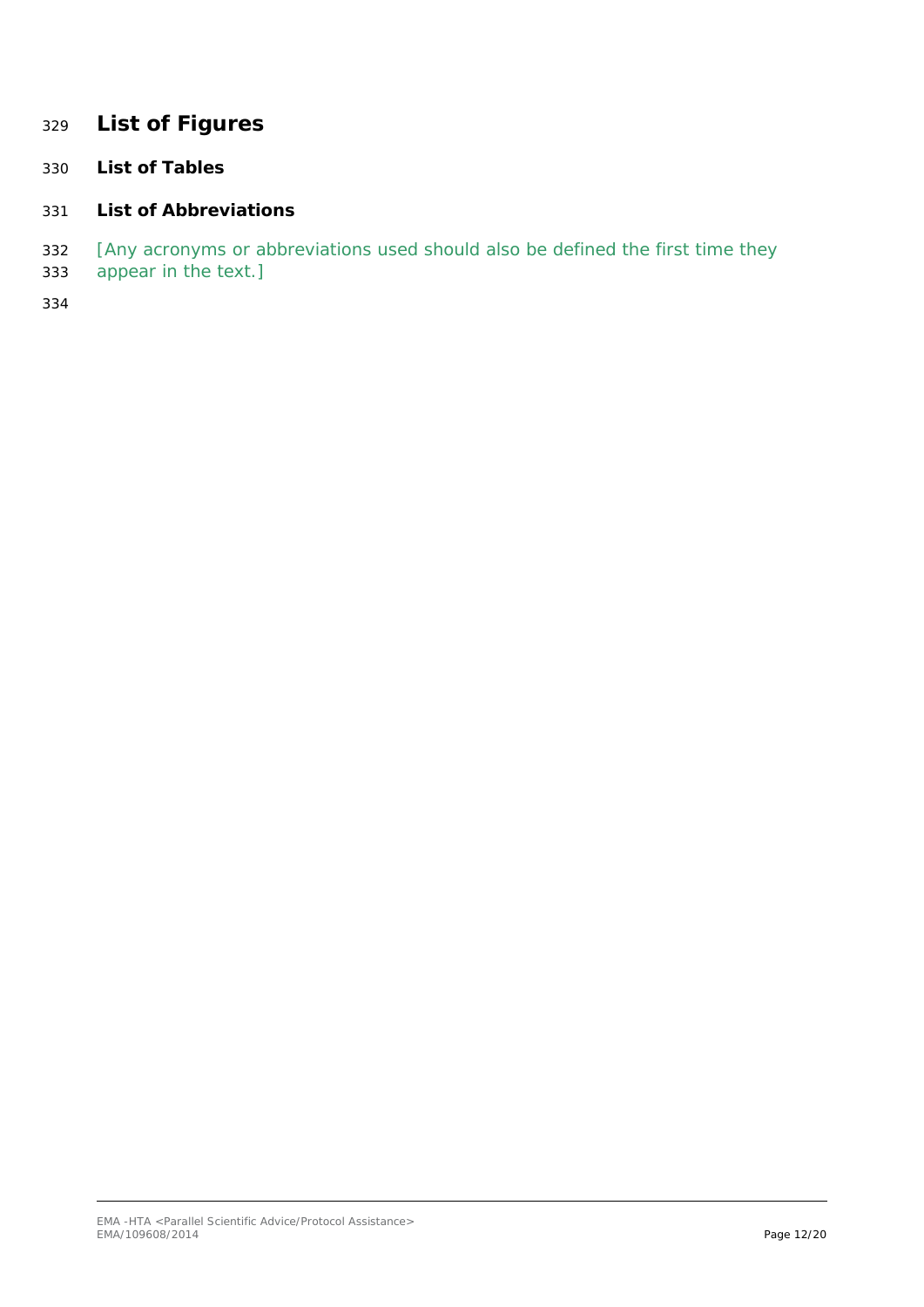# <span id="page-11-0"></span>**List of Figures**

<span id="page-11-1"></span>**List of Tables**

### <span id="page-11-2"></span>**List of Abbreviations**

- *[Any acronyms or abbreviations used should also be defined the first time they*
- *appear in the text.]*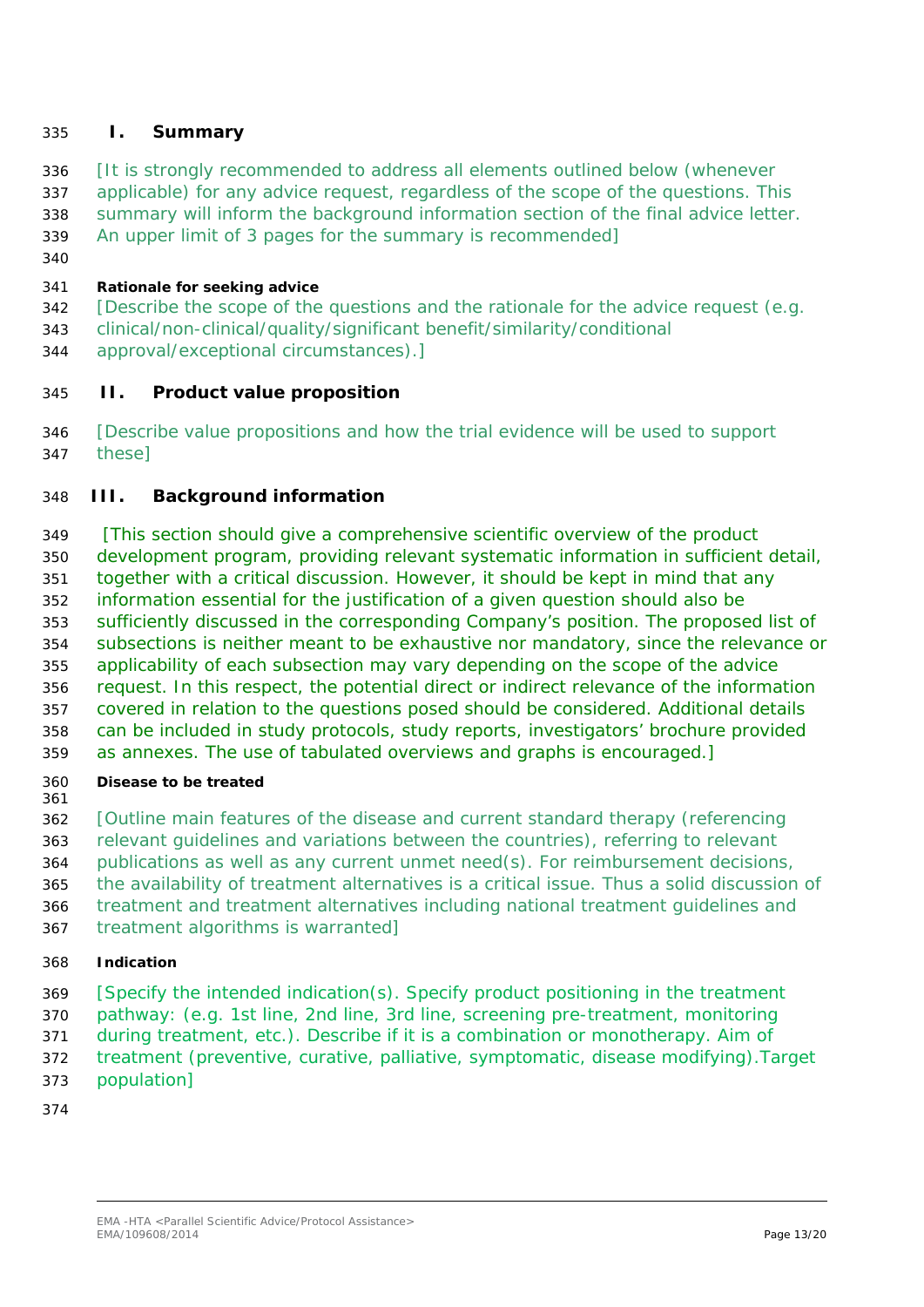### <span id="page-12-0"></span>**I. Summary**

- *[It is strongly recommended to address all elements outlined below (whenever*
- *applicable) for any advice request, regardless of the scope of the questions. This*
- *summary will inform the background information section of the final advice letter.*
- *An upper limit of 3 pages for the summary is recommended]*
- 

### **Rationale for seeking advice**

- *[Describe the scope of the questions and the rationale for the advice request (e.g.*
- *clinical/non-clinical/quality/significant benefit/similarity/conditional*
- *approval/exceptional circumstances).]*

### <span id="page-12-1"></span>**II. Product value proposition**

 [Describe value propositions and how the trial evidence will be used to support these]

# <span id="page-12-2"></span>**III. Background information**

 *[This section should give a comprehensive scientific overview of the product development program, providing relevant systematic information in sufficient detail, together with a critical discussion. However, it should be kept in mind that any information essential for the justification of a given question should also be sufficiently discussed in the corresponding Company's position. The proposed list of subsections is neither meant to be exhaustive nor mandatory, since the relevance or applicability of each subsection may vary depending on the scope of the advice request. In this respect, the potential direct or indirect relevance of the information covered in relation to the questions posed should be considered. Additional details can be included in study protocols, study reports, investigators' brochure provided as annexes. The use of tabulated overviews and graphs is encouraged.]*

- **Disease to be treated**
- *[Outline main features of the disease and current standard therapy (referencing*
- *relevant guidelines and variations between the countries), referring to relevant*
- *publications as well as any current unmet need(s). For reimbursement decisions,*
- *the availability of treatment alternatives is a critical issue. Thus a solid discussion of*
- *treatment and treatment alternatives including national treatment guidelines and*
- *treatment algorithms is warranted]*

# **Indication**

- *[Specify the intended indication(s). Specify product positioning in the treatment*
- *pathway: (e.g. 1st line, 2nd line, 3rd line, screening pre-treatment, monitoring*
- *during treatment, etc.). Describe if it is a combination or monotherapy. Aim of*
- *treatment (preventive, curative, palliative, symptomatic, disease modifying).Target*
- *population]*
-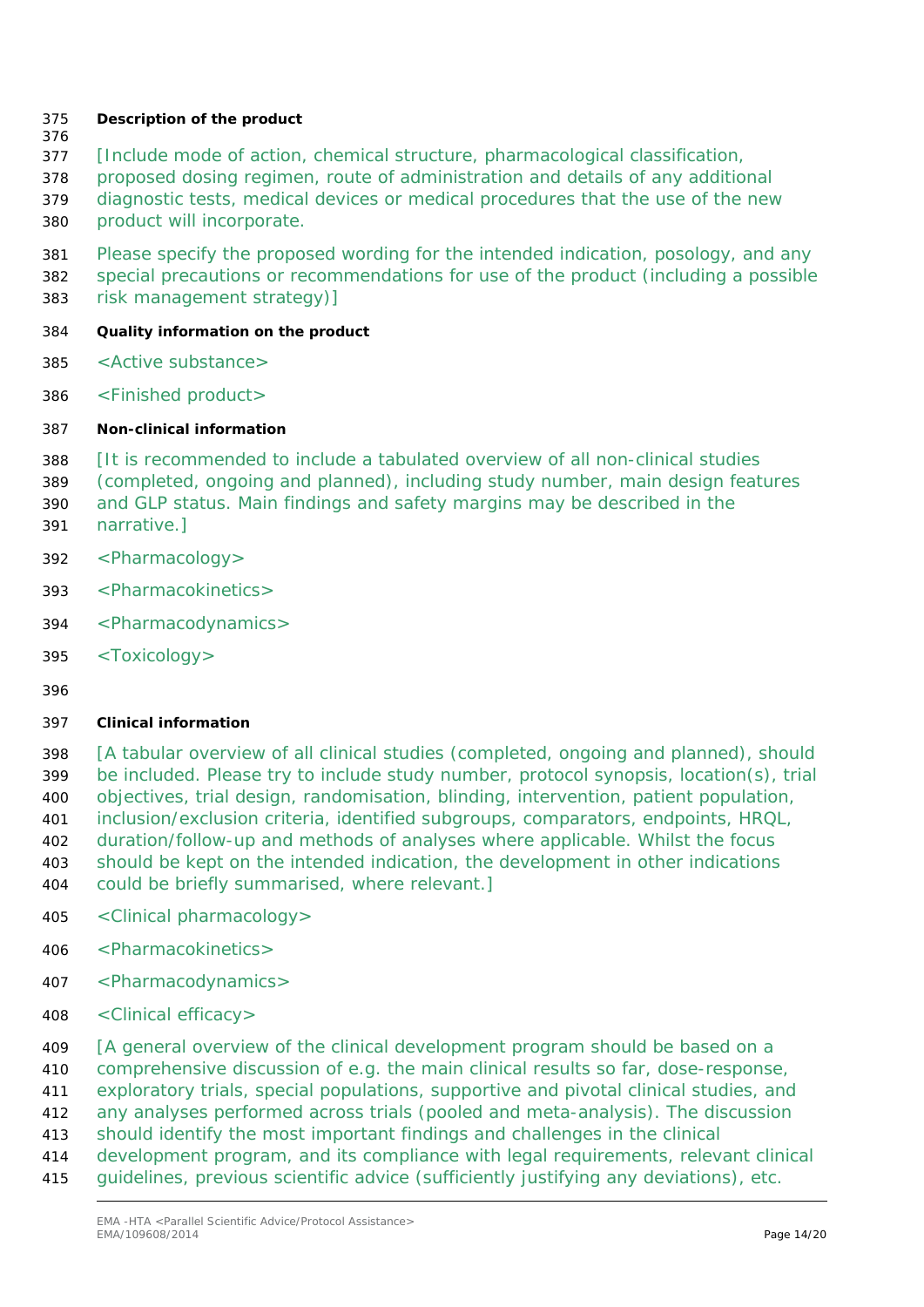### **Description of the product**

- 
- *[Include mode of action, chemical structure, pharmacological classification,*
- *proposed dosing regimen, route of administration and details of any additional*
- *diagnostic tests, medical devices or medical procedures that the use of the new*
- *product will incorporate.*

 *Please specify the proposed wording for the intended indication, posology, and any special precautions or recommendations for use of the product (including a possible risk management strategy)]*

- **Quality information on the product**
- <Active substance>
- <Finished product>
- **Non-clinical information**
- *[It is recommended to include a tabulated overview of all non-clinical studies*
- *(completed, ongoing and planned), including study number, main design features*
- *and GLP status. Main findings and safety margins may be described in the*
- *narrative.]*
- <Pharmacology>
- <Pharmacokinetics>
- <Pharmacodynamics>
- <Toxicology>
- 

### **Clinical information**

 *[A tabular overview of all clinical studies (completed, ongoing and planned), should be included. Please try to include study number, protocol synopsis, location(s), trial objectives, trial design, randomisation, blinding, intervention, patient population, inclusion/exclusion criteria, identified subgroups, comparators, endpoints, HRQL, duration/follow-up and methods of analyses where applicable. Whilst the focus should be kept on the intended indication, the development in other indications could be briefly summarised, where relevant.]*

- <Clinical pharmacology>
- <Pharmacokinetics>
- <Pharmacodynamics>
- <Clinical efficacy>
- *[A general overview of the clinical development program should be based on a*
- *comprehensive discussion of e.g. the main clinical results so far, dose-response,*
- *exploratory trials, special populations, supportive and pivotal clinical studies, and*
- *any analyses performed across trials (pooled and meta-analysis). The discussion*
- *should identify the most important findings and challenges in the clinical*
- *development program, and its compliance with legal requirements, relevant clinical*
- *guidelines, previous scientific advice (sufficiently justifying any deviations), etc.*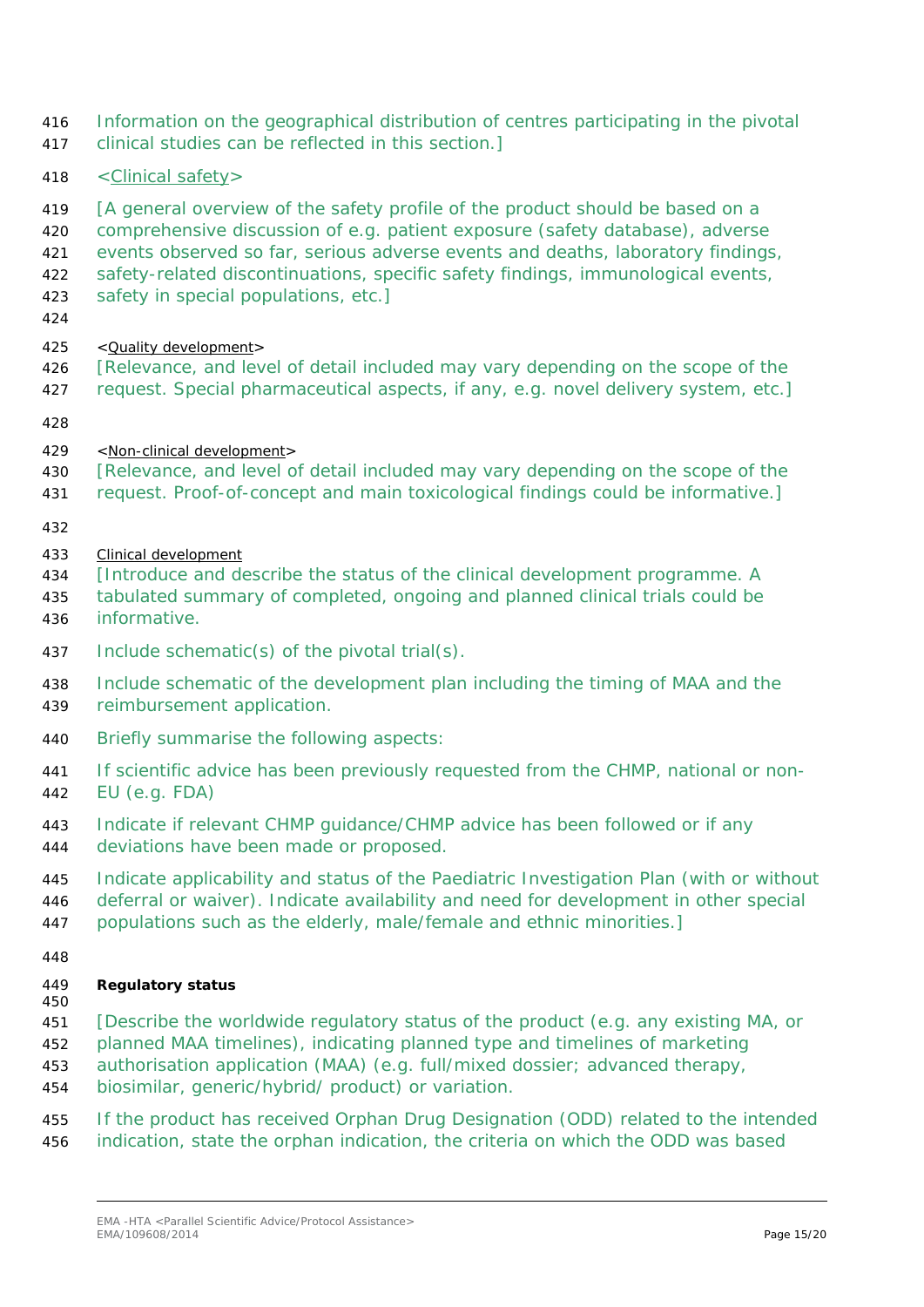- *Information on the geographical distribution of centres participating in the pivotal clinical studies can be reflected in this section.]*
- 418 <Clinical safety>

*[A general overview of the safety profile of the product should be based on a* 

- *comprehensive discussion of e.g. patient exposure (safety database), adverse*
- *events observed so far, serious adverse events and deaths, laboratory findings,*
- *safety-related discontinuations, specific safety findings, immunological events,*
- *safety in special populations, etc.]*
- 
- *<Quality development>*
- *[Relevance, and level of detail included may vary depending on the scope of the*
- *request. Special pharmaceutical aspects, if any, e.g. novel delivery system, etc.]*
- 
- *<Non-clinical development>*
- *[Relevance, and level of detail included may vary depending on the scope of the*
- *request. Proof-of-concept and main toxicological findings could be informative.]*
- 
- *Clinical development*
- *[Introduce and describe the status of the clinical development programme. A*
- *tabulated summary of completed, ongoing and planned clinical trials could be informative.*
- *Include schematic(s) of the pivotal trial(s).*
- *Include schematic of the development plan including the timing of MAA and the reimbursement application.*
- *Briefly summarise the following aspects:*
- *If scientific advice has been previously requested from the CHMP, national or non-EU (e.g. FDA)*
- *Indicate if relevant CHMP guidance/CHMP advice has been followed or if any*
- *deviations have been made or proposed.*
- *Indicate applicability and status of the Paediatric Investigation Plan (with or without*
- *deferral or waiver). Indicate availability and need for development in other special*
- *populations such as the elderly, male/female and ethnic minorities.]*
- 

#### **Regulatory status**

- *[Describe the worldwide regulatory status of the product (e.g. any existing MA, or*
- *planned MAA timelines), indicating planned type and timelines of marketing*
- *authorisation application (MAA) (e.g. full/mixed dossier; advanced therapy,*
- *biosimilar, generic/hybrid/ product) or variation.*
- *If the product has received Orphan Drug Designation (ODD) related to the intended indication, state the orphan indication, the criteria on which the ODD was based*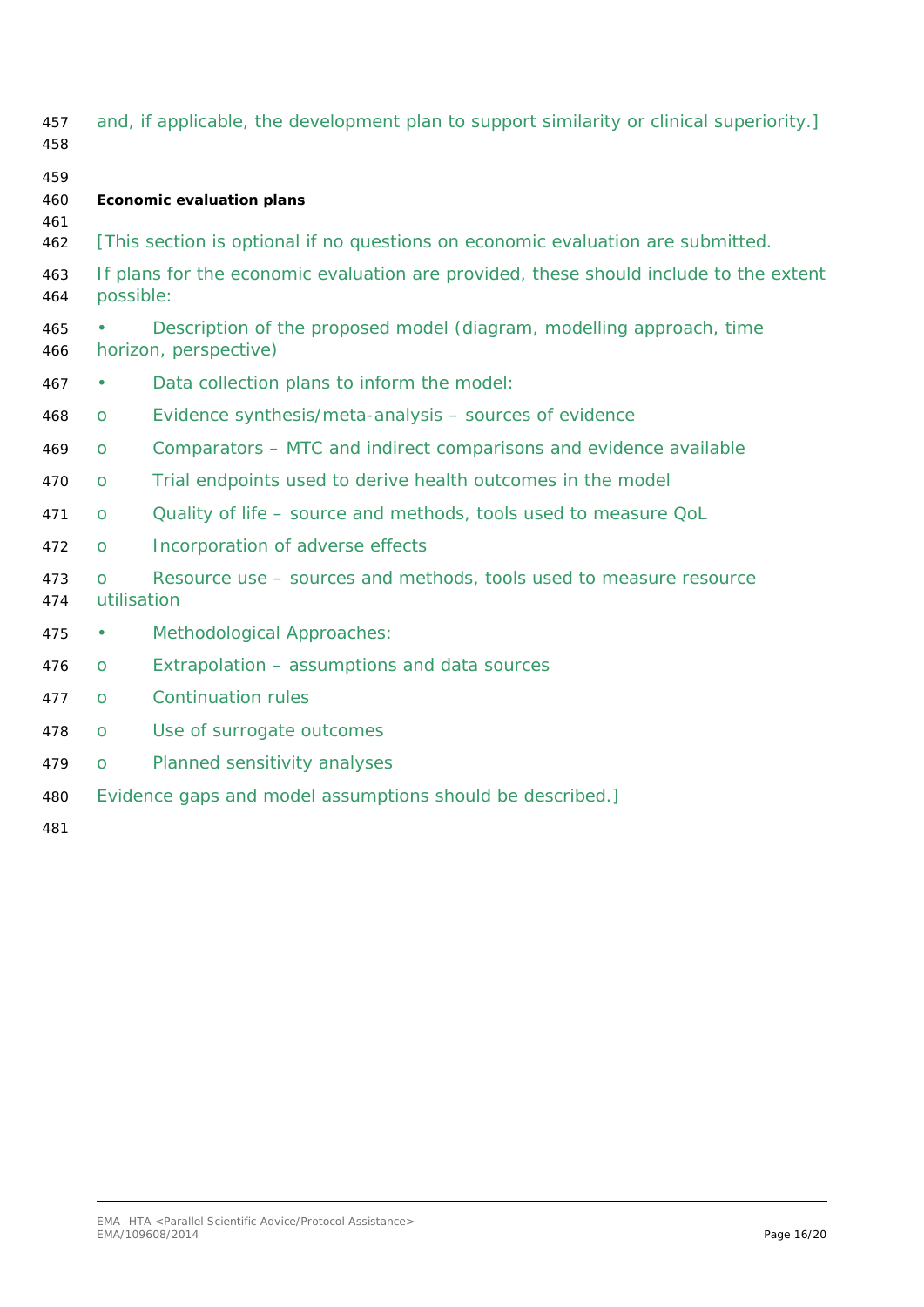| 457<br>458        |                                                                                                    | and, if applicable, the development plan to support similarity or clinical superiority.] |  |
|-------------------|----------------------------------------------------------------------------------------------------|------------------------------------------------------------------------------------------|--|
| 459<br>460<br>461 |                                                                                                    | <b>Economic evaluation plans</b>                                                         |  |
| 462               |                                                                                                    | [This section is optional if no questions on economic evaluation are submitted.          |  |
| 463<br>464        | If plans for the economic evaluation are provided, these should include to the extent<br>possible: |                                                                                          |  |
| 465<br>466        | Description of the proposed model (diagram, modelling approach, time<br>horizon, perspective)      |                                                                                          |  |
| 467               |                                                                                                    | Data collection plans to inform the model:                                               |  |
| 468               | O                                                                                                  | Evidence synthesis/meta-analysis - sources of evidence                                   |  |
| 469               | O                                                                                                  | Comparators - MTC and indirect comparisons and evidence available                        |  |
| 470               | O                                                                                                  | Trial endpoints used to derive health outcomes in the model                              |  |
| 471               | O                                                                                                  | Quality of life - source and methods, tools used to measure QoL                          |  |
| 472               | O                                                                                                  | Incorporation of adverse effects                                                         |  |
| 473<br>474        | $\Omega$<br>utilisation                                                                            | Resource use – sources and methods, tools used to measure resource                       |  |
| 475               |                                                                                                    | Methodological Approaches:                                                               |  |
| 476               | O                                                                                                  | Extrapolation - assumptions and data sources                                             |  |
| 477               | $\overline{O}$                                                                                     | <b>Continuation rules</b>                                                                |  |
| 478               | O                                                                                                  | Use of surrogate outcomes                                                                |  |
| 479               | O                                                                                                  | Planned sensitivity analyses                                                             |  |
| 480               |                                                                                                    | Evidence gaps and model assumptions should be described.]                                |  |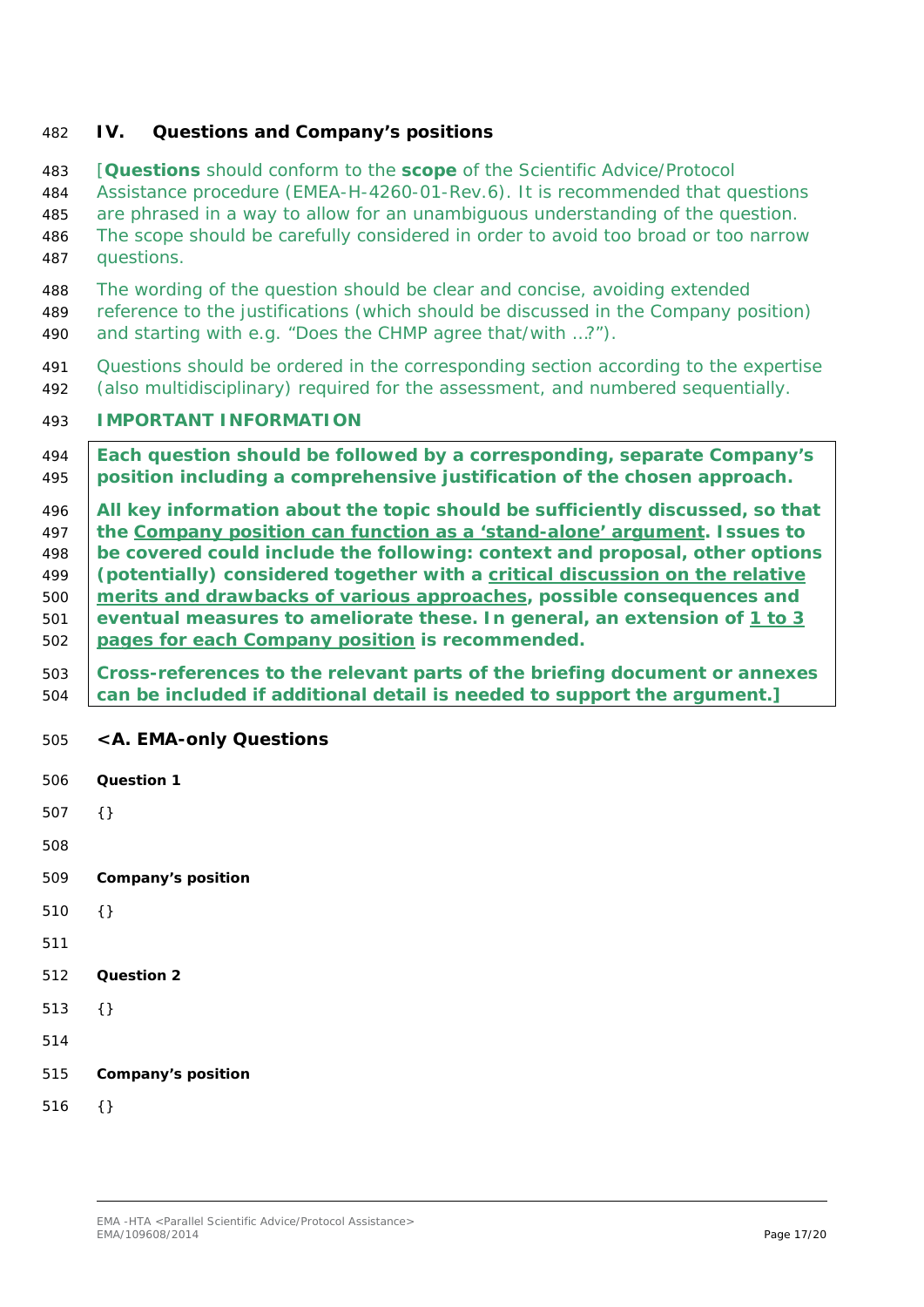### <span id="page-16-0"></span>**IV. Questions and Company's positions**

 *[Questions should conform to the scope of the Scientific Advice/Protocol Assistance procedure (EMEA-H-4260-01-Rev.6). It is recommended that questions are phrased in a way to allow for an unambiguous understanding of the question. The scope should be carefully considered in order to avoid too broad or too narrow questions. The wording of the question should be clear and concise, avoiding extended reference to the justifications (which should be discussed in the Company position) and starting with e.g. "Does the CHMP agree that/with …?"). Questions should be ordered in the corresponding section according to the expertise (also multidisciplinary) required for the assessment, and numbered sequentially. IMPORTANT INFORMATION Each question should be followed by a corresponding, separate Company's position including a comprehensive justification of the chosen approach. All key information about the topic should be sufficiently discussed, so that the Company position can function as a 'stand-alone' argument. Issues to be covered could include the following: context and proposal, other options (potentially) considered together with a critical discussion on the relative merits and drawbacks of various approaches, possible consequences and eventual measures to ameliorate these. In general, an extension of 1 to 3 pages for each Company position is recommended. Cross-references to the relevant parts of the briefing document or annexes can be included if additional detail is needed to support the argument.] <A. EMA-only Questions* **Question 1** {} **Company's position** {} **Question 2** {} **Company's position**

<span id="page-16-1"></span>{}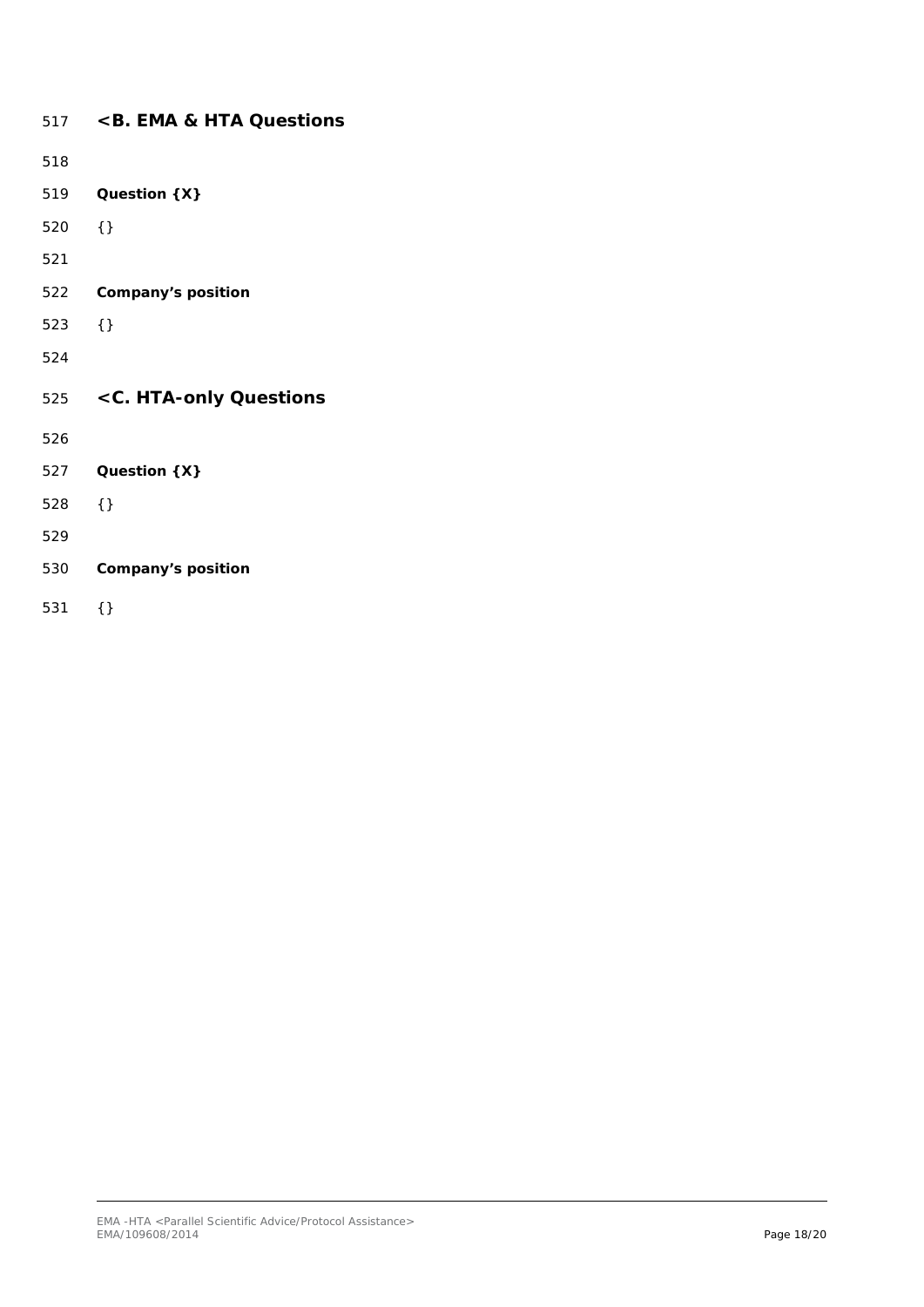<span id="page-17-1"></span><span id="page-17-0"></span>

|     | 517 < B. EMA & HTA Questions |
|-----|------------------------------|
| 518 |                              |
| 519 | Question {X}                 |
| 520 | $\{\}$                       |
| 521 |                              |
| 522 | Company's position           |
| 523 | $\{\}$                       |
| 524 |                              |
|     | 525 < C. HTA-only Questions  |
| 526 |                              |
| 527 | Question {X}                 |
| 528 | $\{\}$                       |
| 529 |                              |
| 530 | Company's position           |
| 531 | {}                           |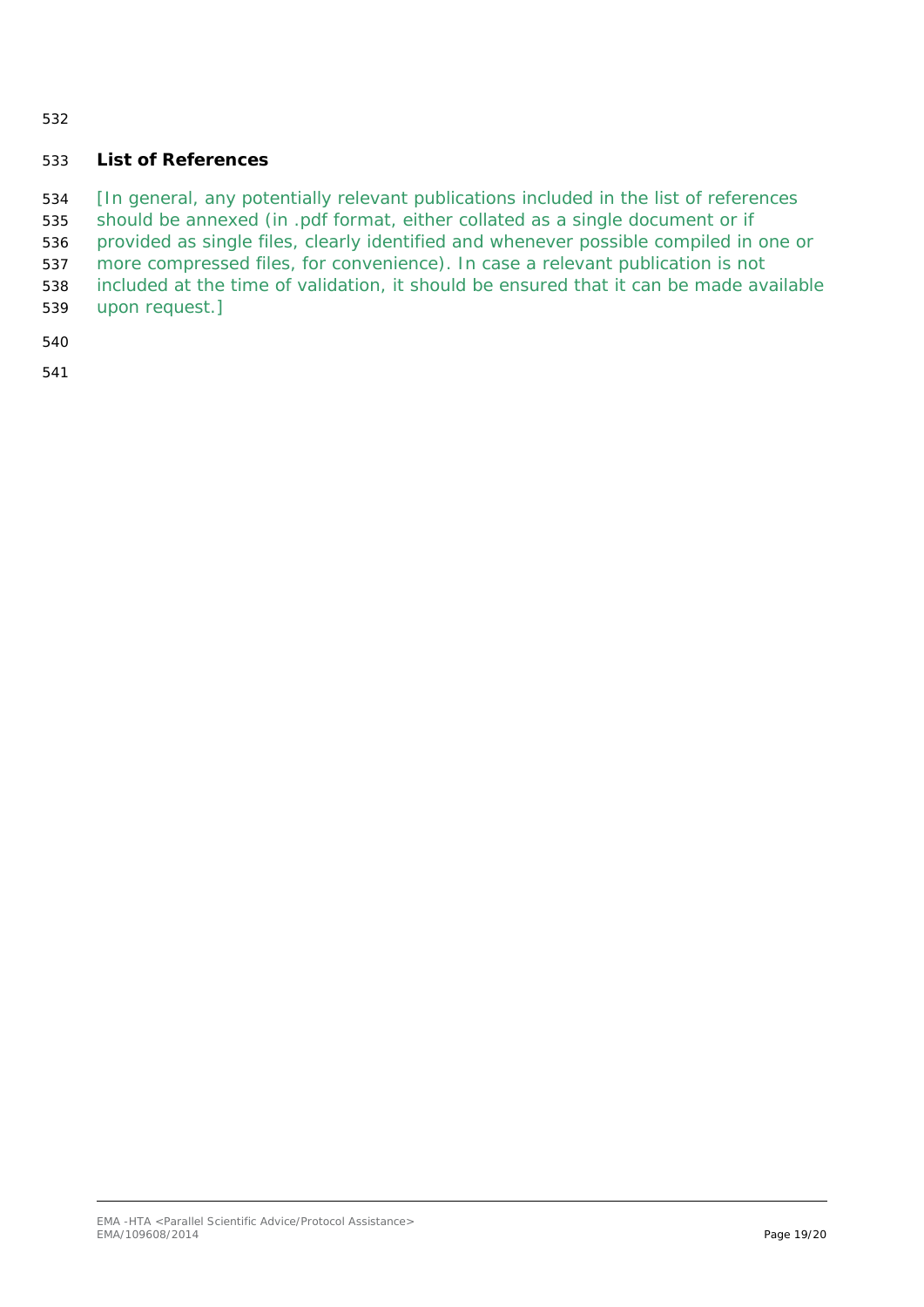### <span id="page-18-0"></span>**List of References**

- *[In general, any potentially relevant publications included in the list of references*
- *should be annexed (in .pdf format, either collated as a single document or if*
- *provided as single files, clearly identified and whenever possible compiled in one or*
- *more compressed files, for convenience). In case a relevant publication is not*
- *included at the time of validation, it should be ensured that it can be made available*
- *upon request.]*
- 
-